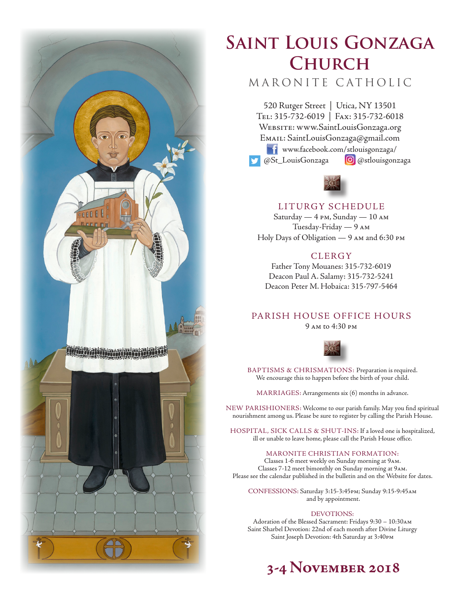

# **Saint Louis Gonzaga Church**

## MARONITE CATHOLIC

520 Rutger Street | Utica, NY 13501 Tel: 315-732-6019 | Fax: 315-732-6018 Website: www.SaintLouisGonzaga.org Email: SaintLouisGonzaga@gmail.com **T1** www.facebook.com/stlouisgonzaga/ @St\_LouisGonzaga **@**@stlouisgonzaga



## LITURGY SCHEDULE

Saturday — 4 pm, Sunday — 10 am Tuesday-Friday — 9 am Holy Days of Obligation — 9 am and 6:30 pm

## **CLERGY**

Father Tony Mouanes: 315-732-6019 Deacon Paul A. Salamy: 315-732-5241 Deacon Peter M. Hobaica: 315-797-5464

## PARISH HOUSE OFFICE HOURS

9 am to 4:30 pm



BAPTISMS & CHRISMATIONS: Preparation is required. We encourage this to happen before the birth of your child.

MARRIAGES: Arrangements six (6) months in advance.

NEW PARISHIONERS: Welcome to our parish family. May you find spiritual nourishment among us. Please be sure to register by calling the Parish House.

HOSPITAL, SICK CALLS & SHUT-INS: If a loved one is hospitalized, ill or unable to leave home, please call the Parish House office.

#### MARONITE CHRISTIAN FORMATION:

Classes 1-6 meet weekly on Sunday morning at 9am. Classes 7-12 meet bimonthly on Sunday morning at 9am. Please see the calendar published in the bulletin and on the Website for dates.

CONFESSIONS: Saturday 3:15-3:45pm; Sunday 9:15-9:45am and by appointment.

#### DEVOTIONS:

Adoration of the Blessed Sacrament: Fridays 9:30 – 10:30am Saint Sharbel Devotion: 22nd of each month after Divine Liturgy Saint Joseph Devotion: 4th Saturday at 3:40pm

## **3-4 November 2018**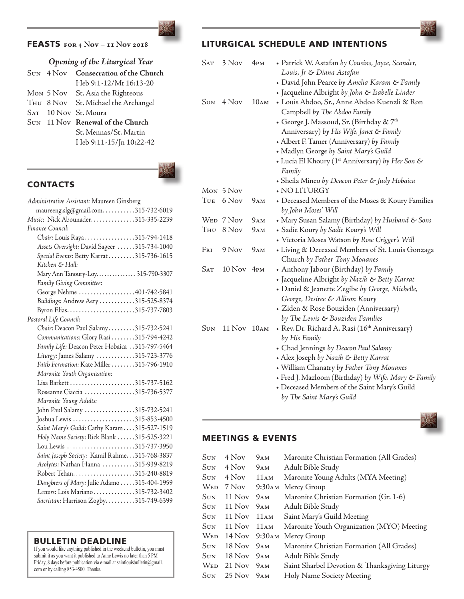

### FEASTS **for 4 Nov – 11 Nov 2018**

## *Opening of the Liturgical Year*

|  | SUN 4 Nov Consecration of the Church |
|--|--------------------------------------|
|  | Heb 9:1-12/Mt 16:13-20               |
|  | Mon 5 Nov St. Asia the Righteous     |
|  | THU 8 Nov St. Michael the Archangel  |
|  | SAT 10 Nov St. Moura                 |
|  | SUN 11 Nov Renewal of the Church     |
|  | St. Mennas/St. Martin                |
|  | Heb 9:11-15/Jn 10:22-42              |
|  |                                      |

## **CONTACTS**

| Administrative Assistant: Maureen Ginsberg      |
|-------------------------------------------------|
| maureeng.slg@gmail.com315-732-6019              |
| Music: Nick Abounader315-335-2239               |
| Finance Council:                                |
| Chair: Louis Raya315-794-1418                   |
| Assets Oversight: David Sageer 315-734-1040     |
| Special Events: Betty Karrat 315-736-1615       |
| Kitchen & Hall:                                 |
| Mary Ann Tanoury-Loy 315-790-3307               |
| Family Giving Committee:                        |
| George Nehme 401-742-5841                       |
| Buildings: Andrew Aery 315-525-8374             |
| Byron Elias315-737-7803                         |
| Pastoral Life Council:                          |
| Chair: Deacon Paul Salamy315-732-5241           |
| Communications: Glory Rasi 315-794-4242         |
| Family Life: Deacon Peter Hobaica 315-797-5464  |
| Liturgy: James Salamy 315-723-3776              |
| Faith Formation: Kate Miller 315-796-1910       |
| Maronite Youth Organization:                    |
|                                                 |
| Roseanne Ciaccia 315-736-5377                   |
| Maronite Young Adults:                          |
| John Paul Salamy 315-732-5241                   |
| Joshua Lewis 315-853-4500                       |
| Saint Mary's Guild: Cathy Karam315-527-1519     |
| Holy Name Society: Rick Blank 315-525-3221      |
| Lou Lewis 315-737-3950                          |
| Saint Joseph Society: Kamil Rahme. 315-768-3837 |
| Acolytes: Nathan Hanna 315-939-8219             |
|                                                 |
| Daughters of Mary: Julie Adamo  315-404-1959    |
| Lectors: Lois Mariano 315-732-3402              |
| Sacristan: Harrison Zogby315-749-6399           |
|                                                 |

#### BULLETIN DEADLINE

If you would like anything published in the weekend bulletin, you must submit it as you want it published to Anne Lewis no later than 5 PM Friday, 8 days before publication via e-mail at saintlouisbulletin@gmail. com or by calling 853-4500. Thanks.

## LITURGICAL SCHEDULE AND INTENTIONS

| <b>SAT</b> | 3 Nov       | 4P <sub>P</sub> | + Patrick W. Astafan by Cousins, Joyce, Scander,             |
|------------|-------------|-----------------|--------------------------------------------------------------|
|            |             |                 | Louis, Jr & Diana Astafan                                    |
|            |             |                 | • David John Pearce by Amelia Karam & Family                 |
|            |             |                 | + Jacqueline Albright by John & Isabelle Linder              |
| Sun        | 4 Nov       | 10AM            | + Louis Abdoo, Sr., Anne Abdoo Kuenzli & Ron                 |
|            |             |                 | Campbell by The Abdoo Family                                 |
|            |             |                 | + George J. Massoud, Sr. (Birthday & 7th                     |
|            |             |                 | Anniversary) by His Wife, Janet & Family                     |
|            |             |                 | + Albert F. Tamer (Anniversary) by Family                    |
|            |             |                 | • Madlyn George by Saint Mary's Guild                        |
|            |             |                 | + Lucia El Khoury (1 <sup>st</sup> Anniversary) by Her Son & |
|            |             |                 | Family                                                       |
|            |             |                 | • Sheila Mineo by Deacon Peter & Judy Hobaica                |
|            | Mon 5 Nov   |                 | + NO LITURGY                                                 |
| Tue        | 6 Nov       | 9AM             | + Deceased Members of the Moses & Koury Families             |
|            |             |                 | by John Moses' Will                                          |
|            | WED 7 Nov   | 9AM             | • Mary Susan Salamy (Birthday) by Husband & Sons             |
| THU        | 8 Nov       | 9AM             | + Sadie Koury by Sadie Koury's Will                          |
|            |             |                 | + Victoria Moses Watson by Rose Crigger's Will               |
| Fri        | 9 Nov       | 9ам             | + Living & Deceased Members of St. Louis Gonzaga             |
|            |             |                 | Church by Father Tony Mouanes                                |
| <b>SAT</b> | 10 Nov 4PM  |                 | • Anthony Jabour (Birthday) by Family                        |
|            |             |                 | + Jacqueline Albright by Nazih & Betty Karrat                |
|            |             |                 | • Daniel & Jeanette Zegibe by George, Michelle,              |
|            |             |                 | George, Desiree & Allison Koury                              |
|            |             |                 | + Ziden & Rose Bouziden (Anniversary)                        |
|            |             |                 | by The Lewis & Bouziden Families                             |
| <b>SUN</b> | 11 Nov 10AM |                 | + Rev. Dr. Richard A. Rasi (16th Anniversary)                |
|            |             |                 | by His Family                                                |
|            |             |                 | • Chad Jennings by Deacon Paul Salamy                        |
|            |             |                 | + Alex Joseph by Nazih & Betty Karrat                        |
|            |             |                 | • William Chanatry by Father Tony Mouanes                    |
|            |             |                 | + Fred J. Mazloom (Birthday) by Wife, Mary & Family          |
|            |             |                 | + Deceased Members of the Saint Mary's Guild                 |
|            |             |                 | by The Saint Mary's Guild                                    |
|            |             |                 |                                                              |

## MEETINGS & EVENTS

| Sun  | 4 Nov                  | 9AM              | Maronite Christian Formation (All Grades)     |
|------|------------------------|------------------|-----------------------------------------------|
| Sun  | 4 Nov                  | 9ам              | Adult Bible Study                             |
| Sun  | 4 Nov                  | 11AM             | Maronite Young Adults (MYA Meeting)           |
| Wed  | 7 Nov                  | $9:30$ AM        | Mercy Group                                   |
| Sun  | 11 Nov                 | 9AM              | Maronite Christian Formation (Gr. 1-6)        |
| Sun  | $11$ Nov               | 9ам              | Adult Bible Study                             |
| Sun  | $11$ Nov               | 11AM             | Saint Mary's Guild Meeting                    |
| Sun  | 11 Nov                 | $11\text{\AA}$ M | Maronite Youth Organization (MYO) Meeting     |
| Wed. | 14 Nov 9:30 AM         |                  | Mercy Group                                   |
| Sun  | $18$ Nov               | 9 <sub>AM</sub>  | Maronite Christian Formation (All Grades)     |
| Sun  | 18 Nov 9 <sub>AM</sub> |                  | Adult Bible Study                             |
| Wed- | $21$ Nov $9AM$         |                  | Saint Sharbel Devotion & Thanksgiving Liturgy |
| Sun  | $25$ Nov $9AM$         |                  | Holy Name Society Meeting                     |
|      |                        |                  |                                               |